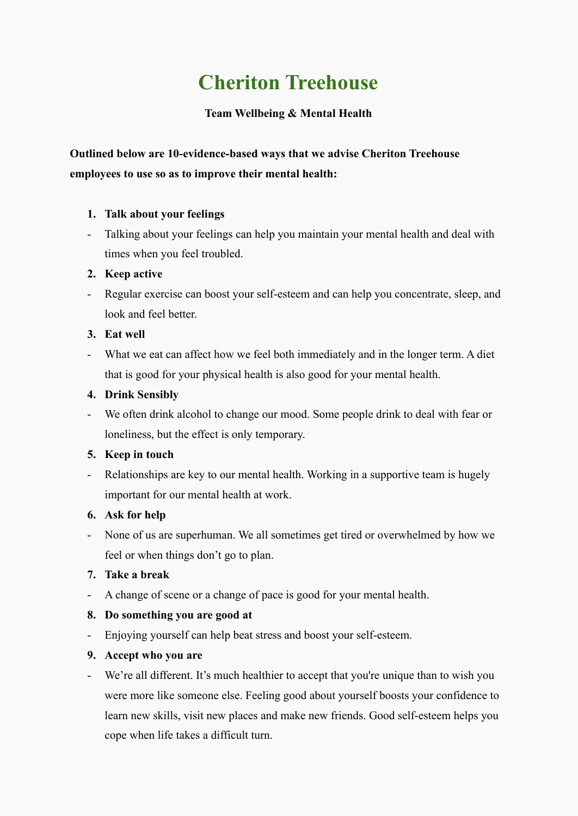# **Cheriton Treehouse**

## **Team Wellbeing & Mental Health**

# **Outlined below are 10-evidence-based ways that we advise Cheriton Treehouse employees to use so as to improve their mental health:**

## **1. Talk about your feelings**

- Talking about your feelings can help you maintain your mental health and deal with times when you feel troubled.

## **2. Keep active**

- Regular exercise can boost your self-esteem and can help you concentrate, sleep, and look and feel better.

## **3. Eat well**

- What we eat can affect how we feel both immediately and in the longer term. A diet that is good for your physical health is also good for your mental health.

## **4. Drink Sensibly**

- We often drink alcohol to change our mood. Some people drink to deal with fear or loneliness, but the effect is only temporary.

#### **5. Keep in touch**

- Relationships are key to our mental health. Working in a supportive team is hugely important for our mental health at work.

#### **6. Ask for help**

- None of us are superhuman. We all sometimes get tired or overwhelmed by how we feel or when things don't go to plan.

## **7. Take a break**

- A change of scene or a change of pace is good for your mental health.

## **8. Do something you are good at**

- Enjoying yourself can help beat stress and boost your self-esteem.

#### **9. Accept who you are**

- We're all different. It's much healthier to accept that you're unique than to wish you were more like someone else. Feeling good about yourself boosts your confidence to learn new skills, visit new places and make new friends. Good self-esteem helps you cope when life takes a difficult turn.